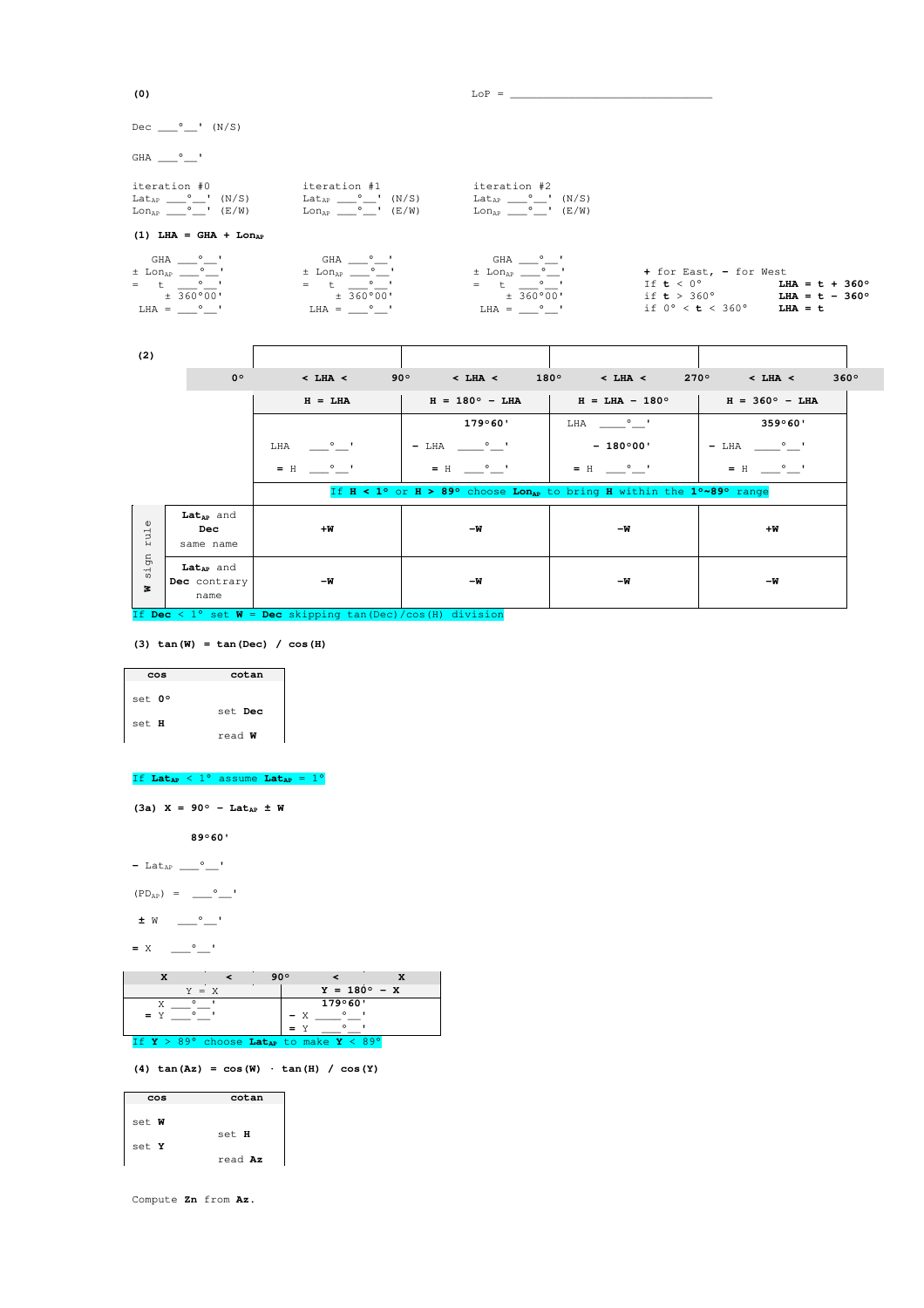(0)  $\qquad \qquad \text{LoP = \_\_}$ 

Dec  $\_\_\circ\_\_\prime$ ' (N/S)

GHA \_\_\_°\_\_'

| iteration #0                                                                | iteration #1                                            | iteration #2                               |
|-----------------------------------------------------------------------------|---------------------------------------------------------|--------------------------------------------|
| $\mathtt{Lat}_\mathtt{AP} \_\_\^\circ \_\_\text{{\sf I}}' \ \mathtt{(N/S)}$ | $Lat_{AP} \_\_\circ \_\_\prime'$ (N/S)                  | $Lat_{AP} \_\_\circ \_\_\prime'$ (N/S)     |
| $\text{Lon}_{\text{AP}} \_\_\circ \_\_\text{I}$ ' (E/W)                     | $\text{Lon}_{\text{AP}} \_\_\circ \_\_\text{I}$ ' (E/W) | $\text{Lon}_{\text{ap}}$ $\circ$ ' $(E/W)$ |
| $(1)$ LHA = GHA + Lon <sub>ap</sub>                                         |                                                         |                                            |

| GHA ° '                           | GHA ° '                           | GHA <sup>o</sup> '                |                                  |                         |
|-----------------------------------|-----------------------------------|-----------------------------------|----------------------------------|-------------------------|
| $\pm$ Lon <sub>ap</sub> $\circ$ ' | $\pm$ Lon <sub>ap</sub> $\circ$ ' | $\pm$ Lon <sub>ap</sub> $\circ$ ' | + for East, - for West           |                         |
| $=$ t $\circ$ '                   | $=$ t $\circ$ '                   | $=$ $+$ $^{\circ}$ $^{\circ}$     | If $t < 0^{\circ}$               | $LHA = t + 360^{\circ}$ |
| $+360°00'$                        | ± 360°00'                         | ± 360°00'                         | if $t > 360^\circ$               | $LHA = t - 360^{\circ}$ |
| $LHA =$ $\circ$ '                 | $LHA =$ $\circ$ '                 | $LHA =$ $\circ$ '                 | if $0^{\circ}$ < <b>t</b> < 360° | $LHA = t$               |

| (2)       |                                               |                                    |                            |                                                                                                              |                            |
|-----------|-----------------------------------------------|------------------------------------|----------------------------|--------------------------------------------------------------------------------------------------------------|----------------------------|
|           | $0^{\circ}$                                   | 90°<br>$<$ LHA $<$                 | $<$ LHA $<$<br>$180^\circ$ | $270^\circ$<br>$<$ LHA $<$                                                                                   | $360^\circ$<br>$<$ LHA $<$ |
|           |                                               | $H = LHA$                          | $H = 180^{\circ} - LHA$    | $H = LHA - 180^\circ$                                                                                        | $H = 360^{\circ} - LHA$    |
|           |                                               |                                    | 179°60'                    | LHA .                                                                                                        | 359°60'                    |
|           |                                               | $\circ$ $\qquad$<br>LHA            | $-$ LHA $\circ$ '          | $-180^{\circ}00'$                                                                                            | $-$ LHA $\circ$ '          |
|           |                                               | $=$ H<br>$\circ$ $\circ$ $\bullet$ | $=$ H $\circ$ '            | $=$ H $\circ$ $\qquad$                                                                                       | $=$ H $\circ$ $\cdot$      |
|           |                                               |                                    |                            | If $H < 1^{\circ}$ or $H > 89^{\circ}$ choose Lon <sub>ap</sub> to bring H within the $1^{\circ}$ ~89° range |                            |
| rule      | Lat <sub>AP</sub> and<br>Dec<br>same name     | $+W$                               | -W                         | – W                                                                                                          | $+W$                       |
| sign<br>× | Lat <sub>ap</sub> and<br>Dec contrary<br>name | -W                                 | -W                         | – W                                                                                                          | – W                        |

If **Dec** < 1° set **W** = **Dec** skipping tan(Dec)/cos(H) division

**(3) tan(W) = tan(Dec) / cos(H)** 



## If  $Lat_{AP} < 1^{\circ}$  assume  $Lat_{AP} = 1^{\circ}$

 $(3a)$  X = 90° - Lat<sub>AP</sub> ± W

 **89°60'** 

- $-$  Lat<sub>AP</sub>  $\frac{1}{\sqrt{2}}$
- $(PD_{AP}) = \_\_\circ \_'$
- **±** W \_\_\_°\_\_'
- **=** X \_\_\_°\_\_'

|                                                                   |         | ano |  |         |                       |  |
|-------------------------------------------------------------------|---------|-----|--|---------|-----------------------|--|
|                                                                   | $Y = X$ |     |  |         | $Y = 180^{\circ} - X$ |  |
|                                                                   |         |     |  | 179°60' |                       |  |
|                                                                   |         |     |  |         |                       |  |
|                                                                   |         |     |  |         |                       |  |
| If $Y > 89^\circ$ choose Lat <sub>ap</sub> to make $Y < 89^\circ$ |         |     |  |         |                       |  |

## **(4) tan(Az) = cos(W) · tan(H) / cos(Y)**

| cos   | cotan        |
|-------|--------------|
|       |              |
| set W |              |
|       | set <b>H</b> |
| set Y |              |
|       | read Az      |

Compute **Zn** from **Az**.